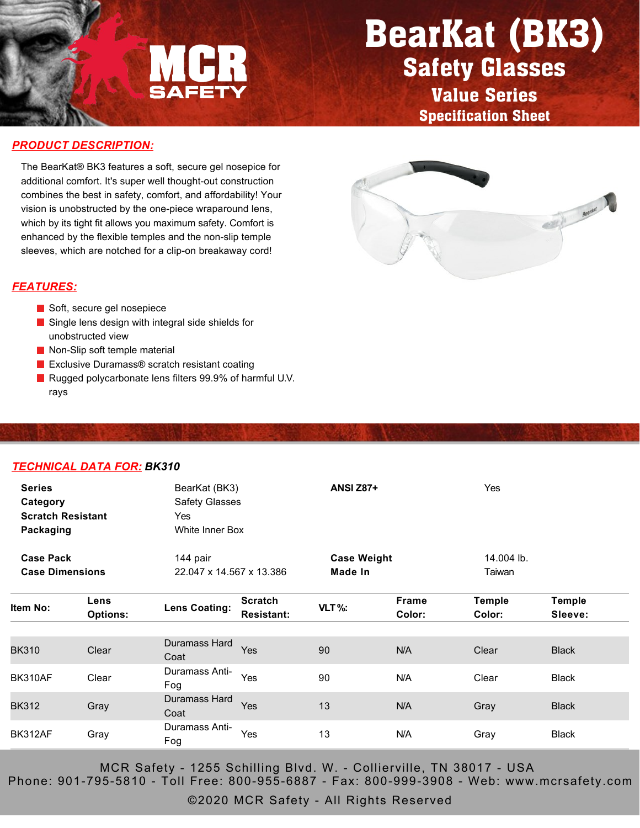

## BearKat (BK3) Safety Glasses

Value Series Specification Sheet

#### *PRODUCT DESCRIPTION:*

The BearKat® BK3 features a soft, secure gel nosepice for additional comfort. It's super well thought-out construction combines the best in safety, comfort, and affordability! Your vision is unobstructed by the one-piece wraparound lens, which by its tight fit allows you maximum safety. Comfort is enhanced by the flexible temples and the non-slip temple sleeves, which are notched for a clip-on breakaway cord!

#### *FEATURES:*

- Soft, secure gel nosepiece
- Single lens design with integral side shields for unobstructed view
- Non-Slip soft temple material
- Exclusive Duramass<sup>®</sup> scratch resistant coating
- Rugged polycarbonate lens filters 99.9% of harmful U.V. rays

#### *TECHNICAL DATA FOR: BK310*

| <b>Series</b><br>Category<br><b>Scratch Resistant</b><br>Packaging |                         | BearKat (BK3)<br><b>Safety Glasses</b><br>Yes<br>White Inner Box |                                     | <b>ANSI Z87+</b>              |                        | Yes                     |                          |
|--------------------------------------------------------------------|-------------------------|------------------------------------------------------------------|-------------------------------------|-------------------------------|------------------------|-------------------------|--------------------------|
| <b>Case Pack</b><br><b>Case Dimensions</b>                         |                         | 144 pair<br>22.047 x 14.567 x 13.386                             |                                     | <b>Case Weight</b><br>Made In |                        | 14.004 lb.<br>Taiwan    |                          |
| Item No:                                                           | Lens<br><b>Options:</b> | <b>Lens Coating:</b>                                             | <b>Scratch</b><br><b>Resistant:</b> | $VLT$ %:                      | <b>Frame</b><br>Color: | <b>Temple</b><br>Color: | <b>Temple</b><br>Sleeve: |
| <b>BK310</b>                                                       | Clear                   | Duramass Hard<br>Coat                                            | Yes                                 | 90                            | N/A                    | Clear                   | <b>Black</b>             |
| BK310AF                                                            | Clear                   | Duramass Anti-<br>Fog                                            | Yes                                 | 90                            | N/A                    | Clear                   | <b>Black</b>             |
| <b>BK312</b>                                                       | Gray                    | Duramass Hard<br>Coat                                            | Yes                                 | 13                            | N/A                    | Gray                    | <b>Black</b>             |
| BK312AF                                                            | Gray                    | Duramass Anti-<br>Fog                                            | Yes                                 | 13                            | N/A                    | Gray                    | <b>Black</b>             |

MCR Safety - 1255 Schilling Blvd. W. - Collierville, TN 38017 - USA Phone: 901-795-5810 - Toll Free: 800-955-6887 - Fax: 800-999-3908 - Web: www.mcrsafety.com

©2020 MCR Safety - All Rights Reserved